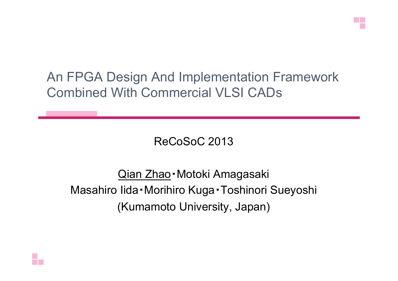

An FPGA Design And Implementation Framework Combined With Commercial VLSI CADs 

ReCoSoC 2013

Qian Zhao・Motoki Amagasaki Masahiro Iida・Morihiro Kuga・Toshinori Sueyoshi (Kumamoto University, Japan)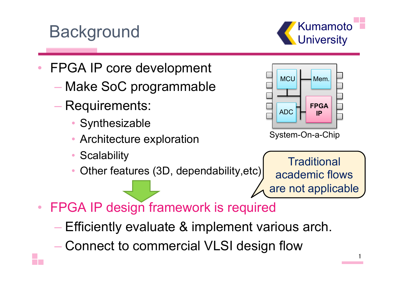## Background **Background**

**Kumamoto** 

- FPGA IP core development
	- Make SoC programmable
	- Requirements:
		- Synthesizable
		- Architecture exploration
		- **Scalability**
		- Other features (3D, dependability,etc)

**Traditional** academic flows are not applicable

1 

- FPGA IP design framework is required
	- Efficiently evaluate & implement various arch.
	- Connect to commercial VLSI design flow

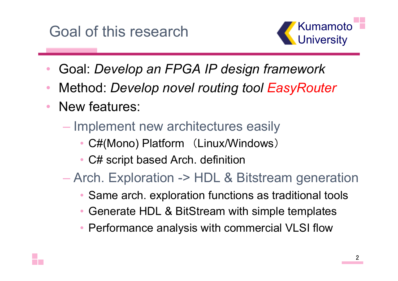## Goal of this research



- Goal: *Develop an FPGA IP design framework*
- Method: *Develop novel routing tool EasyRouter*
- New features:
	- Implement new architectures easily
		- C#(Mono) Platform (Linux/Windows)
		- C# script based Arch. definition
	- Arch. Exploration -> HDL & Bitstream generation
		- Same arch. exploration functions as traditional tools
		- Generate HDL & BitStream with simple templates
		- Performance analysis with commercial VLSI flow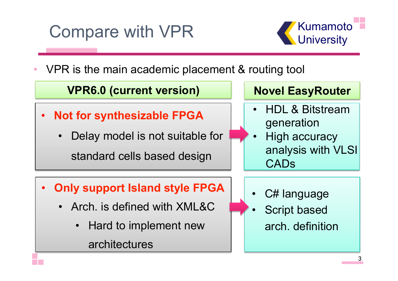# Compare with VPR **Compare with VPR**



VPR is the main academic placement & routing tool



- Arch. is defined with XML&C
	- Hard to implement new

architectures

Script based arch. definition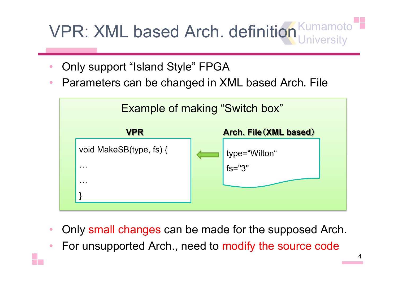Kumamoto **University** VPR: XML based Arch. definition

- Only support "Island Style" FPGA
- Parameters can be changed in XML based Arch. File



- Only small changes can be made for the supposed Arch.
- For unsupported Arch., need to modify the source code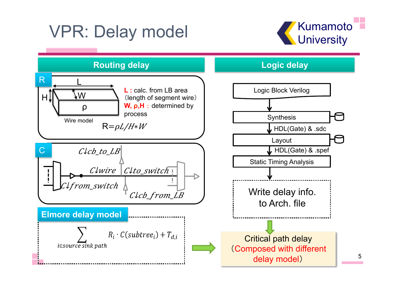# VPR: Delay model



5 

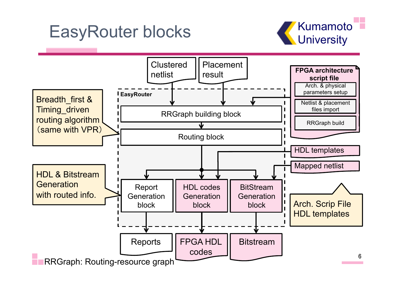## EasyRouter blocks **CasyRouter blocks**



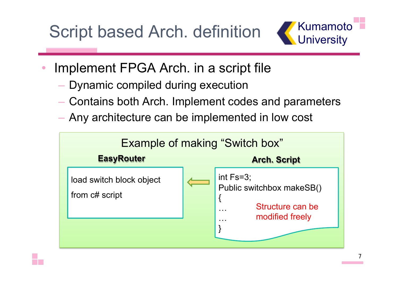Script based Arch. definition



- Implement FPGA Arch. in a script file
	- Dynamic compiled during execution
	- Contains both Arch. Implement codes and parameters
	- Any architecture can be implemented in low cost

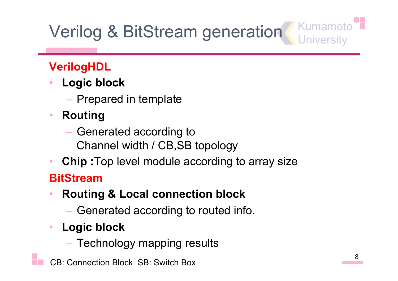# Verilog & BitStream generation Kumamoto

#### **VerilogHDL**

- **Logic block**
	- Prepared in template
- **Routing**
	- Generated according to Channel width / CB,SB topology
- **Chip :**Top level module according to array size

#### **BitStream**

- **Routing & Local connection block**
	- Generated according to routed info.
- **Logic block** 
	- Technology mapping results
- CB: Connection Block SB: Switch Box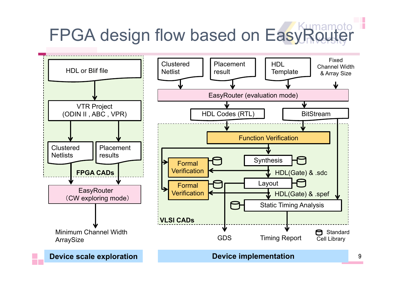# FPGA design flow based on EasyRouter

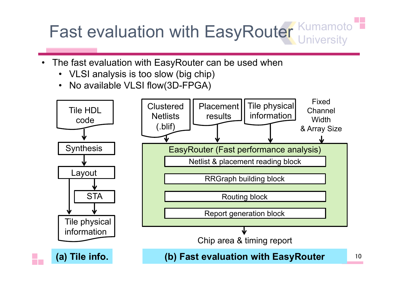# Fast evaluation with EasyRouter Kumamoto

- The fast evaluation with EasyRouter can be used when
	- VLSI analysis is too slow (big chip)
	- No available VLSI flow(3D-FPGA)

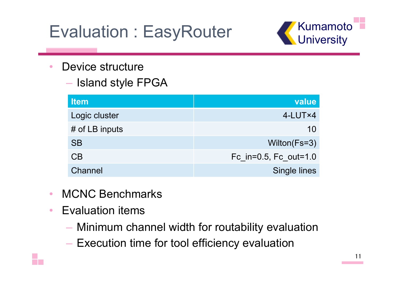# Evaluation : EasyRouter **Canaly Evaluation : EasyRouter**



- Device structure
	- Island style FPGA

| <b>Item</b>      | value                 |
|------------------|-----------------------|
| Logic cluster    | $4$ -LUT $\times$ 4   |
| $#$ of LB inputs | 10                    |
| <b>SB</b>        | Wilton(Fs=3)          |
| CB               | Fc_in=0.5, Fc_out=1.0 |
| Channel          | Single lines          |

- MCNC Benchmarks
- Evaluation items
	- Minimum channel width for routability evaluation
	- Execution time for tool efficiency evaluation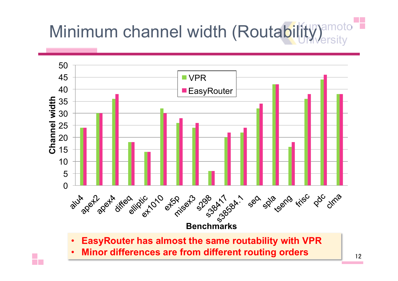# Minimum channel width (Routability) amoto

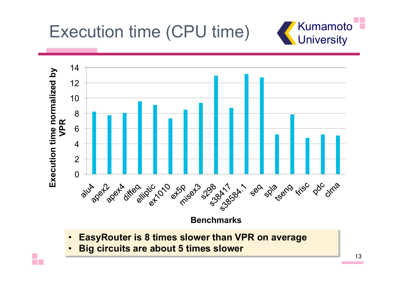Execution time (CPU time) K Kumamoto





- **EasyRouter is 8 times slower than VPR on average**
- **Big circuits are about 5 times slower**

÷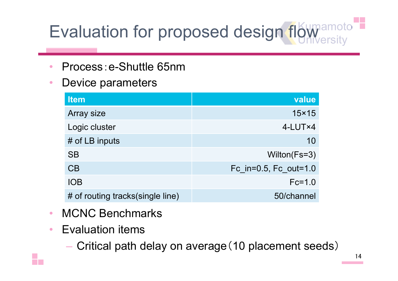# Evaluation for proposed design flow amoto

- Process: e-Shuttle 65nm
- Device parameters

| <b>Item</b>                      | value                 |
|----------------------------------|-----------------------|
| Array size                       | $15\times 15$         |
| Logic cluster                    | 4-LUT×4               |
| # of LB inputs                   | 10                    |
| <b>SB</b>                        | Wilton(Fs=3)          |
| CB                               | Fc in=0.5, Fc out=1.0 |
| <b>IOB</b>                       | $Fc=1.0$              |
| # of routing tracks(single line) | 50/channel            |

- MCNC Benchmarks
- Evaluation items
	- Critical path delay on average(10 placement seeds)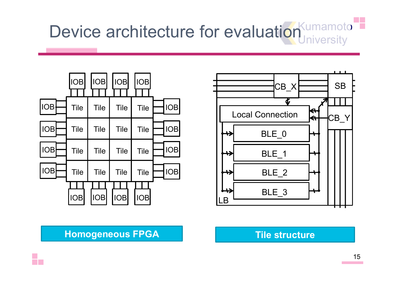# Device architecture for evaluation umamoto





#### **Homogeneous FPGA Tile structure**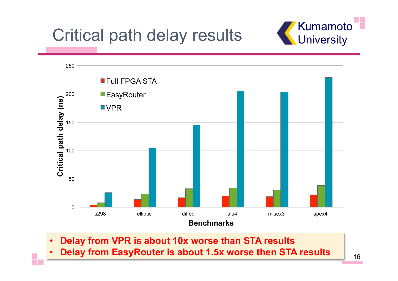

# Critical path delay results With University



- **Delay from VPR is about 10x worse than STA results**
- **Delay from EasyRouter is about 1.5x worse then STA results**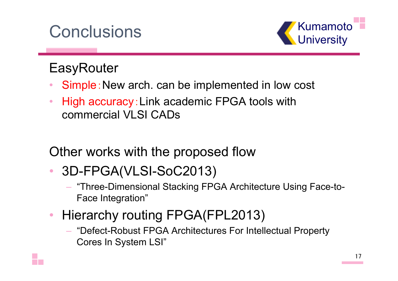## Conclusions **Conclusions**



### **EasyRouter**

- Simple: New arch. can be implemented in low cost
- High accuracy: Link academic FPGA tools with commercial VLSI CADs

Other works with the proposed flow

- 3D-FPGA(VLSI-SoC2013)
	- "Three-Dimensional Stacking FPGA Architecture Using Face-to-Face Integration"
- Hierarchy routing FPGA(FPL2013)
	- "Defect-Robust FPGA Architectures For Intellectual Property Cores In System LSI"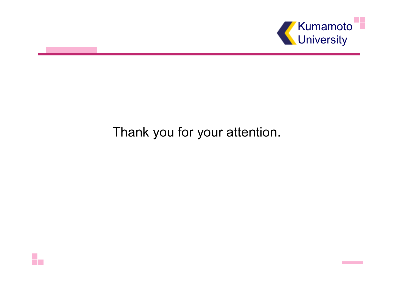

#### Thank you for your attention.

H.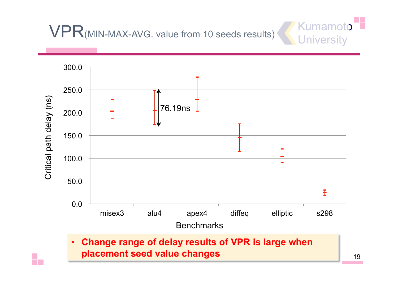# VPR(MIN-MAX-AVG. value from 10 seeds results) University



Kuman